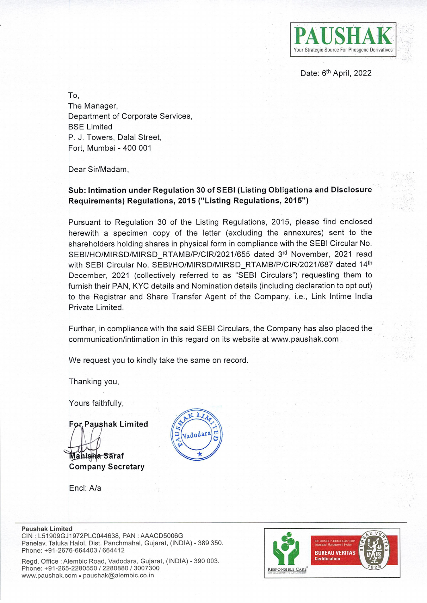

Date: 6<sup>th</sup> April, 2022

To, The Manager, Department of Corporate Services, BSE Limited P. J. Towers, Dalal Street, Fort, Mumbai - 400 001

Dear Sir/Madam,

## **Sub: Intimation under Regulation 30 of SEBI (Listing Obligations and Disclosure Requirements) Regulations, 2015 ("Listing Regulations, 2015")**

Pursuant to Regulation 30 of the Listing Regulations, 2015, please find enclosed herewith a specimen copy of the letter (excluding the annexures) sent to the shareholders holding shares in physical form in compliance with the SEBI Circular No. SEBI/HO/MIRSD/MIRSD\_RTAMB/P/CIR/2021/655 dated 3rd November, 2021 read with SEBI Circular No. SEBI/HO/MIRSD/MIRSD\_RTAMB/P/CIR/2021/687 dated 14th December, 2021 (collectively referred to as "SEBI Circulars") requesting them to furnish their PAN, KYC details and Nomination details (including declaration to opt out) to the Registrar and Share Transfer Agent of the Company, i.e., Link lntime India Private Limited.

Further, in compliance with the said SEBI Circulars, the Company has also placed the communication/intimation in this regard on its website at www.paushak.com

We request you to kindly take the same on record.

Thanking you,

Yours faithfully,

**For Paushak Limited M.Jl~~~:-a- <sup>a</sup>***rat* 

**Company Secretary** 

Encl: A/a



**Paushak Limited** 

CIN : L51909GJ1972PLC044638, PAN : AAACD5006G Panelav, Taluka Halol, Dist. Panchmahal, Gujarat, (INDIA) - 389 350. Phone: +91-2676-664403 / 664412

Regd. Office: Alembic Road, Vadodara, Gujarat, (INDIA) - 390 003. Phone: +91-265-2280550 / 2280880 / 3007300 www.paushak.com · paushak@alembic.co.in